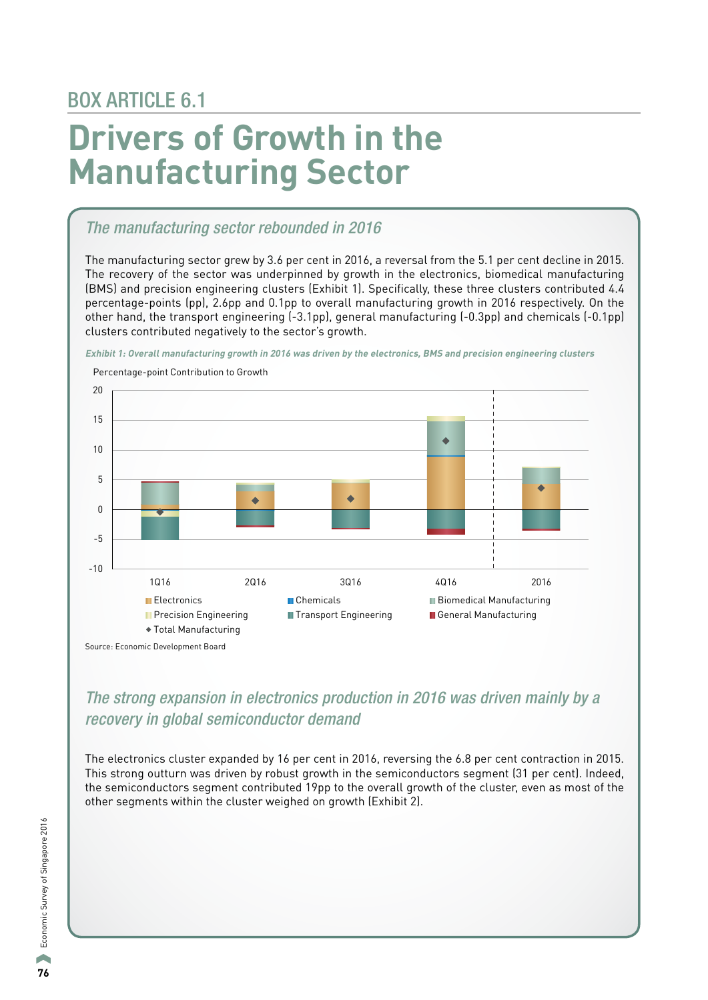## BOX ARTICLE 6.1

# **Drivers of Growth in the Manufacturing Sector**

#### *The manufacturing sector rebounded in 2016*

The manufacturing sector grew by 3.6 per cent in 2016, a reversal from the 5.1 per cent decline in 2015. The recovery of the sector was underpinned by growth in the electronics, biomedical manufacturing (BMS) and precision engineering clusters (Exhibit 1). Specifically, these three clusters contributed 4.4 percentage-points (pp), 2.6pp and 0.1pp to overall manufacturing growth in 2016 respectively. On the other hand, the transport engineering (-3.1pp), general manufacturing (-0.3pp) and chemicals (-0.1pp) clusters contributed negatively to the sector's growth.

**Exhibit 1: Overall manufacturing growth in 2016 was driven by the electronics, BMS and precision engineering clusters** 



### *The strong expansion in electronics production in 2016 was driven mainly by a recovery in global semiconductor demand*

The electronics cluster expanded by 16 per cent in 2016, reversing the 6.8 per cent contraction in 2015. This strong outturn was driven by robust growth in the semiconductors segment (31 per cent). Indeed, the semiconductors segment contributed 19pp to the overall growth of the cluster, even as most of the other segments within the cluster weighed on growth (Exhibit 2).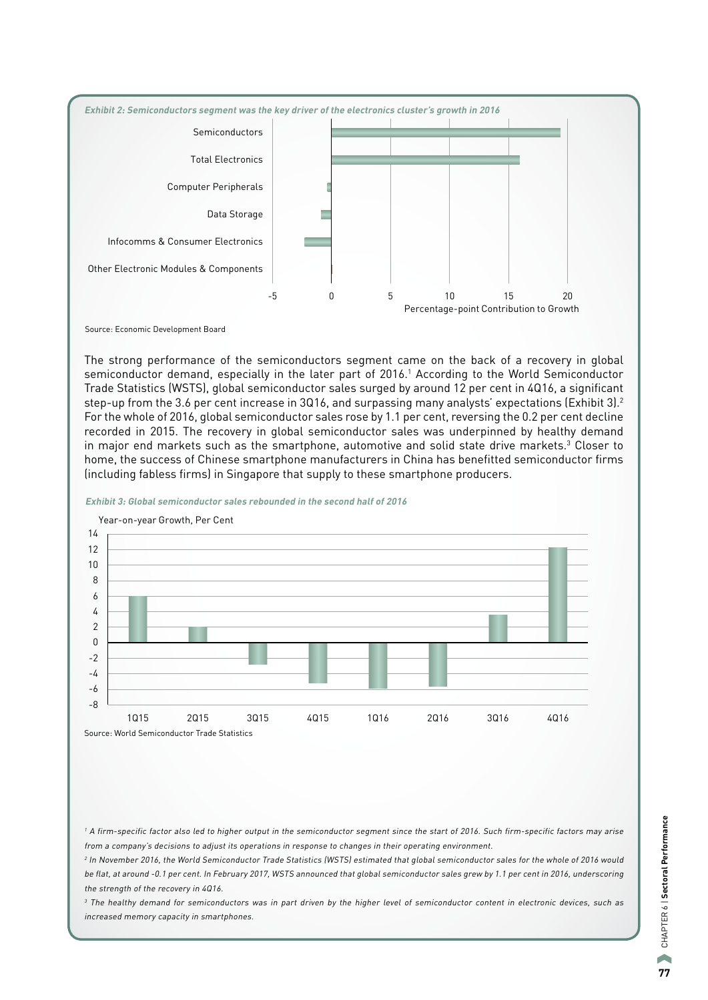

Source: Economic Development Board

The strong performance of the semiconductors segment came on the back of a recovery in global semiconductor demand, especially in the later part of 2016.<sup>1</sup> According to the World Semiconductor Trade Statistics (WSTS), global semiconductor sales surged by around 12 per cent in 4Q16, a significant step-up from the 3.6 per cent increase in 3Q16, and surpassing many analysts' expectations (Exhibit 3).2 For the whole of 2016, global semiconductor sales rose by 1.1 per cent, reversing the 0.2 per cent decline recorded in 2015. The recovery in global semiconductor sales was underpinned by healthy demand in major end markets such as the smartphone, automotive and solid state drive markets.<sup>3</sup> Closer to home, the success of Chinese smartphone manufacturers in China has benefitted semiconductor firms (including fabless firms) in Singapore that supply to these smartphone producers.



**Exhibit 3: Global semiconductor sales rebounded in the second half of 2016**

<sup>1</sup> A firm-specific factor also led to higher output in the semiconductor segment since the start of 2016. Such firm-specific factors may arise from a company's decisions to adjust its operations in response to changes in their operating environment.

<sup>2</sup> In November 2016, the World Semiconductor Trade Statistics (WSTS) estimated that global semiconductor sales for the whole of 2016 would be flat, at around -0.1 per cent. In February 2017, WSTS announced that global semiconductor sales grew by 1.1 per cent in 2016, underscoring the strength of the recovery in 4Q16.

<sup>3</sup> The healthy demand for semiconductors was in part driven by the higher level of semiconductor content in electronic devices, such as increased memory capacity in smartphones.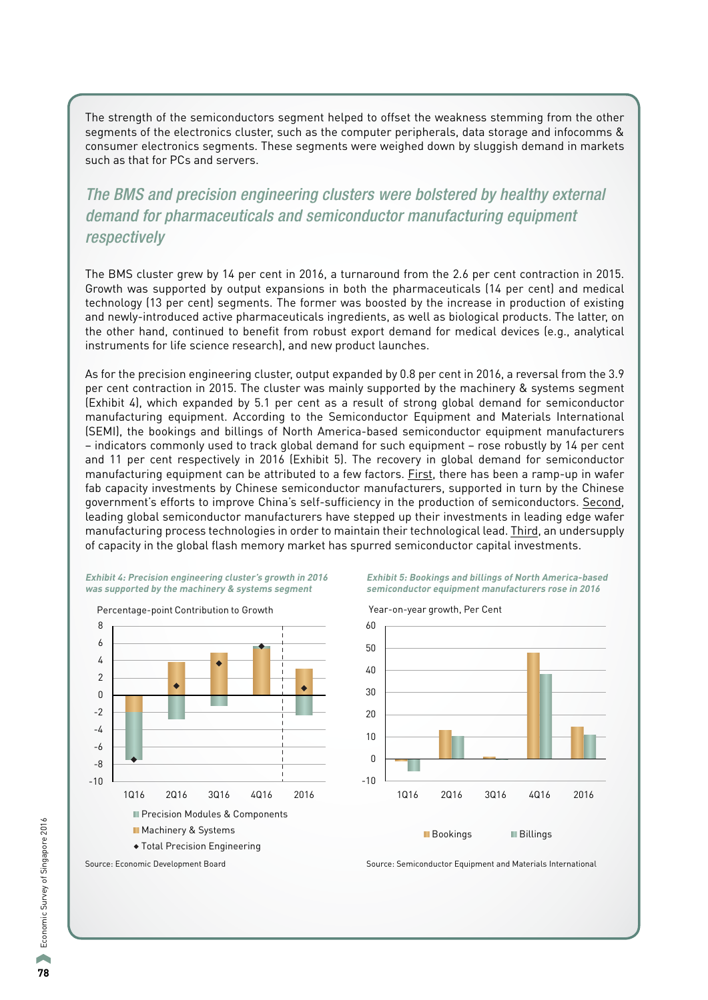The strength of the semiconductors segment helped to offset the weakness stemming from the other segments of the electronics cluster, such as the computer peripherals, data storage and infocomms & consumer electronics segments. These segments were weighed down by sluggish demand in markets such as that for PCs and servers.

### *The BMS and precision engineering clusters were bolstered by healthy external demand for pharmaceuticals and semiconductor manufacturing equipment respectively*

The BMS cluster grew by 14 per cent in 2016, a turnaround from the 2.6 per cent contraction in 2015. Growth was supported by output expansions in both the pharmaceuticals (14 per cent) and medical technology (13 per cent) segments. The former was boosted by the increase in production of existing and newly-introduced active pharmaceuticals ingredients, as well as biological products. The latter, on the other hand, continued to benefit from robust export demand for medical devices (e.g., analytical instruments for life science research), and new product launches.

As for the precision engineering cluster, output expanded by 0.8 per cent in 2016, a reversal from the 3.9 per cent contraction in 2015. The cluster was mainly supported by the machinery & systems segment (Exhibit 4), which expanded by 5.1 per cent as a result of strong global demand for semiconductor manufacturing equipment. According to the Semiconductor Equipment and Materials International (SEMI), the bookings and billings of North America-based semiconductor equipment manufacturers – indicators commonly used to track global demand for such equipment – rose robustly by 14 per cent and 11 per cent respectively in 2016 (Exhibit 5). The recovery in global demand for semiconductor manufacturing equipment can be attributed to a few factors. First, there has been a ramp-up in wafer fab capacity investments by Chinese semiconductor manufacturers, supported in turn by the Chinese government's efforts to improve China's self-sufficiency in the production of semiconductors. Second, leading global semiconductor manufacturers have stepped up their investments in leading edge wafer manufacturing process technologies in order to maintain their technological lead. Third, an undersupply of capacity in the global flash memory market has spurred semiconductor capital investments.

#### **Exhibit 4: Precision engineering cluster's growth in 2016 was supported by the machinery & systems segment**



**Exhibit 5: Bookings and billings of North America-based semiconductor equipment manufacturers rose in 2016**



Source: Economic Development Board Source: Source: Semiconductor Equipment and Materials International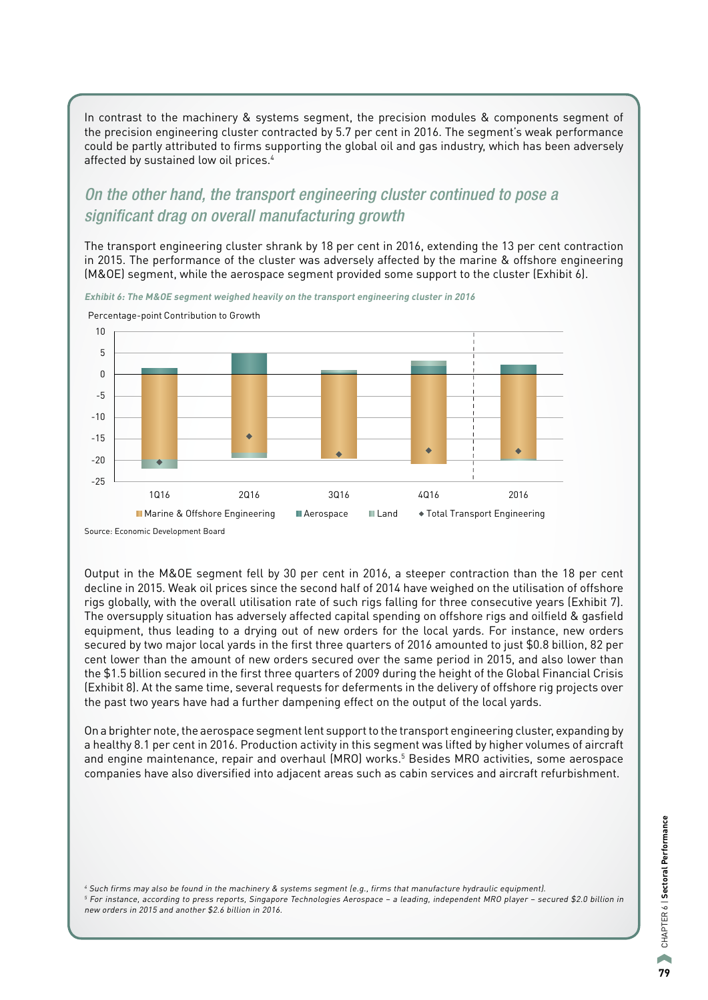In contrast to the machinery & systems segment, the precision modules & components segment of the precision engineering cluster contracted by 5.7 per cent in 2016. The segment's weak performance could be partly attributed to firms supporting the global oil and gas industry, which has been adversely affected by sustained low oil prices.4

#### *On the other hand, the transport engineering cluster continued to pose a significant drag on overall manufacturing growth*

The transport engineering cluster shrank by 18 per cent in 2016, extending the 13 per cent contraction in 2015. The performance of the cluster was adversely affected by the marine & offshore engineering (M&OE) segment, while the aerospace segment provided some support to the cluster (Exhibit 6).

**Exhibit 6: The M&OE segment weighed heavily on the transport engineering cluster in 2016**



Percentage-point Contribution to Growth

Source: Economic Development Board

Output in the M&OE segment fell by 30 per cent in 2016, a steeper contraction than the 18 per cent decline in 2015. Weak oil prices since the second half of 2014 have weighed on the utilisation of offshore rigs globally, with the overall utilisation rate of such rigs falling for three consecutive years (Exhibit 7). The oversupply situation has adversely affected capital spending on offshore rigs and oilfield & gasfield equipment, thus leading to a drying out of new orders for the local yards. For instance, new orders secured by two major local yards in the first three quarters of 2016 amounted to just \$0.8 billion, 82 per cent lower than the amount of new orders secured over the same period in 2015, and also lower than the \$1.5 billion secured in the first three quarters of 2009 during the height of the Global Financial Crisis (Exhibit 8). At the same time, several requests for deferments in the delivery of offshore rig projects over the past two years have had a further dampening effect on the output of the local yards.

On a brighter note, the aerospace segment lent support to the transport engineering cluster, expanding by a healthy 8.1 per cent in 2016. Production activity in this segment was lifted by higher volumes of aircraft and engine maintenance, repair and overhaul (MRO) works.5 Besides MRO activities, some aerospace companies have also diversified into adjacent areas such as cabin services and aircraft refurbishment.

<sup>4</sup> Such firms may also be found in the machinery & systems segment (e.g., firms that manufacture hydraulic equipment). <sup>5</sup> For instance, according to press reports, Singapore Technologies Aerospace – a leading, independent MRO player – secured \$2.0 billion in new orders in 2015 and another \$2.6 billion in 2016.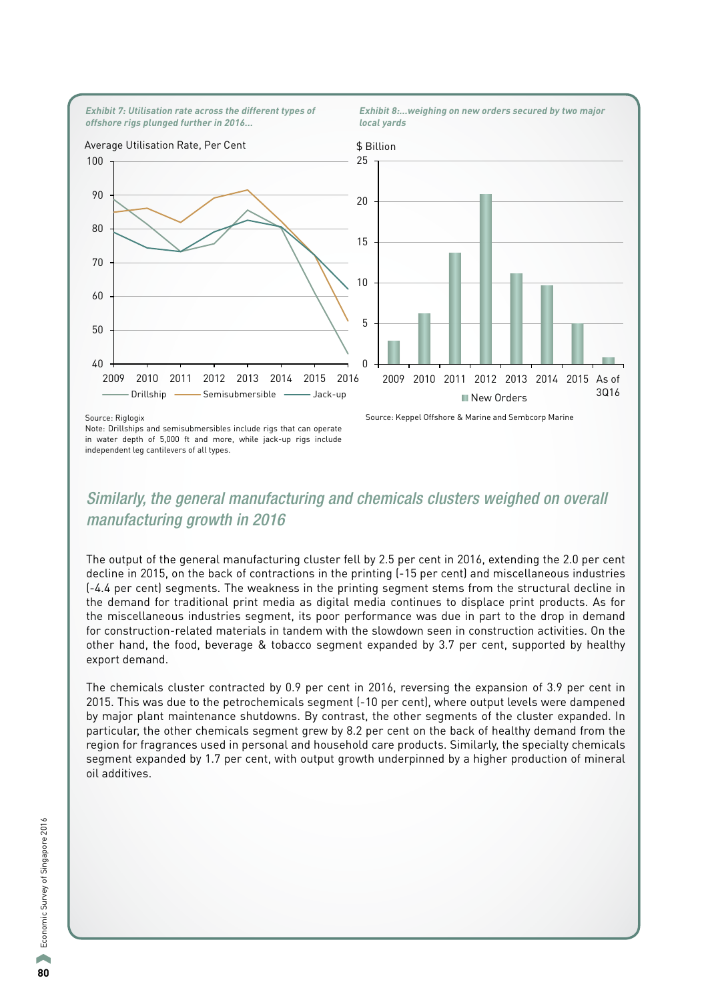

#### Source: Riglogix

Note: Drillships and semisubmersibles include rigs that can operate in water depth of 5,000 ft and more, while jack-up rigs include independent leg cantilevers of all types.

Source: Keppel Offshore & Marine and Sembcorp Marine

### *Similarly, the general manufacturing and chemicals clusters weighed on overall manufacturing growth in 2016*

The output of the general manufacturing cluster fell by 2.5 per cent in 2016, extending the 2.0 per cent decline in 2015, on the back of contractions in the printing (-15 per cent) and miscellaneous industries (-4.4 per cent) segments. The weakness in the printing segment stems from the structural decline in the demand for traditional print media as digital media continues to displace print products. As for the miscellaneous industries segment, its poor performance was due in part to the drop in demand for construction-related materials in tandem with the slowdown seen in construction activities. On the other hand, the food, beverage & tobacco segment expanded by 3.7 per cent, supported by healthy export demand.

The chemicals cluster contracted by 0.9 per cent in 2016, reversing the expansion of 3.9 per cent in 2015. This was due to the petrochemicals segment (-10 per cent), where output levels were dampened by major plant maintenance shutdowns. By contrast, the other segments of the cluster expanded. In particular, the other chemicals segment grew by 8.2 per cent on the back of healthy demand from the region for fragrances used in personal and household care products. Similarly, the specialty chemicals segment expanded by 1.7 per cent, with output growth underpinned by a higher production of mineral oil additives.